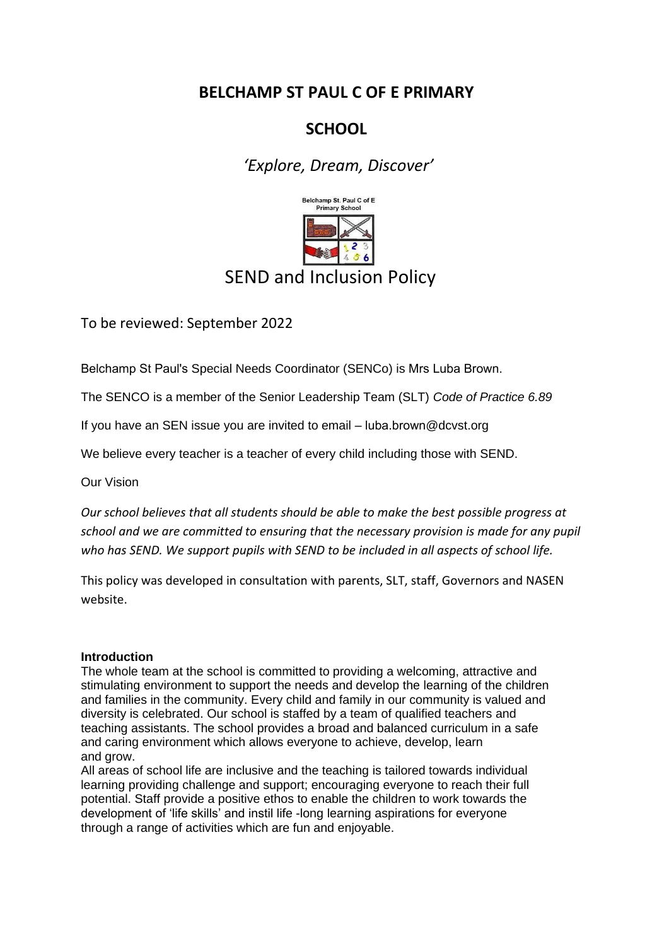# **BELCHAMP ST PAUL C OF E PRIMARY**

# **SCHOOL**

*'Explore, Dream, Discover'*



To be reviewed: September 2022

Belchamp St Paul's Special Needs Coordinator (SENCo) is Mrs Luba Brown.

The SENCO is a member of the Senior Leadership Team (SLT) *Code of Practice 6.89*

If you have an SEN issue you are invited to email – luba.brown@dcvst.org

We believe every teacher is a teacher of every child including those with SEND.

Our Vision

*Our school believes that all students should be able to make the best possible progress at school and we are committed to ensuring that the necessary provision is made for any pupil who has SEND. We support pupils with SEND to be included in all aspects of school life.* 

This policy was developed in consultation with parents, SLT, staff, Governors and NASEN website.

# **Introduction**

The whole team at the school is committed to providing a welcoming, attractive and stimulating environment to support the needs and develop the learning of the children and families in the community. Every child and family in our community is valued and diversity is celebrated. Our school is staffed by a team of qualified teachers and teaching assistants. The school provides a broad and balanced curriculum in a safe and caring environment which allows everyone to achieve, develop, learn and grow.

All areas of school life are inclusive and the teaching is tailored towards individual learning providing challenge and support; encouraging everyone to reach their full potential. Staff provide a positive ethos to enable the children to work towards the development of 'life skills' and instil life -long learning aspirations for everyone through a range of activities which are fun and enjoyable.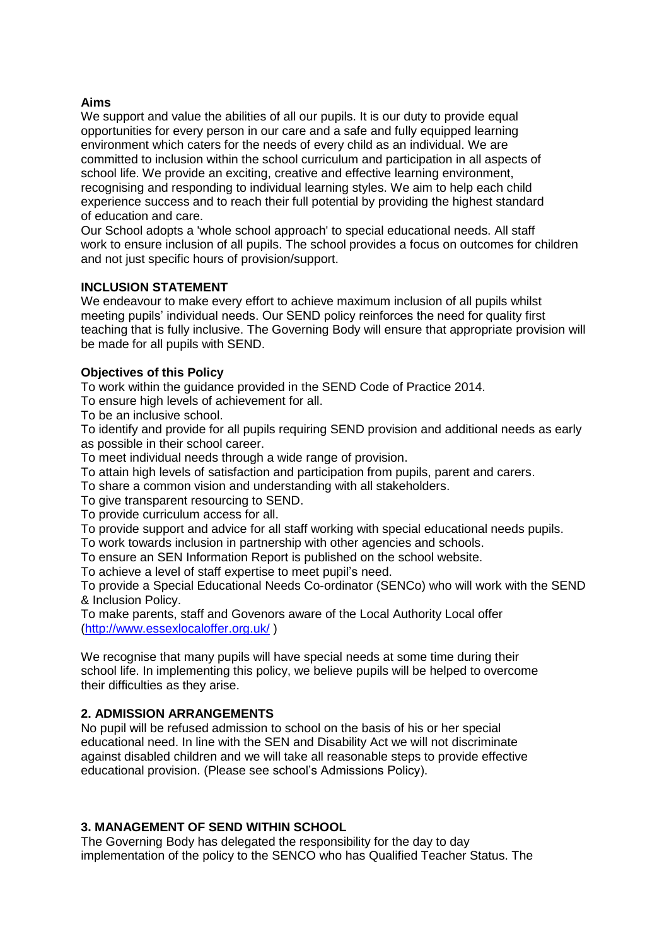#### **Aims**

We support and value the abilities of all our pupils. It is our duty to provide equal opportunities for every person in our care and a safe and fully equipped learning environment which caters for the needs of every child as an individual. We are committed to inclusion within the school curriculum and participation in all aspects of school life. We provide an exciting, creative and effective learning environment, recognising and responding to individual learning styles. We aim to help each child experience success and to reach their full potential by providing the highest standard of education and care.

Our School adopts a 'whole school approach' to special educational needs. All staff work to ensure inclusion of all pupils. The school provides a focus on outcomes for children and not just specific hours of provision/support.

# **INCLUSION STATEMENT**

We endeavour to make every effort to achieve maximum inclusion of all pupils whilst meeting pupils' individual needs. Our SEND policy reinforces the need for quality first teaching that is fully inclusive. The Governing Body will ensure that appropriate provision will be made for all pupils with SEND.

#### **Objectives of this Policy**

To work within the guidance provided in the SEND Code of Practice 2014.

To ensure high levels of achievement for all.

To be an inclusive school.

To identify and provide for all pupils requiring SEND provision and additional needs as early as possible in their school career.

To meet individual needs through a wide range of provision.

To attain high levels of satisfaction and participation from pupils, parent and carers.

To share a common vision and understanding with all stakeholders.

To give transparent resourcing to SEND.

To provide curriculum access for all.

To provide support and advice for all staff working with special educational needs pupils.

To work towards inclusion in partnership with other agencies and schools.

To ensure an SEN Information Report is published on the school website.

To achieve a level of staff expertise to meet pupil's need.

To provide a Special Educational Needs Co-ordinator (SENCo) who will work with the SEND & Inclusion Policy.

To make parents, staff and Govenors aware of the Local Authority Local offer [\(http://www.essexlocaloffer.org.uk/](http://www.essexlocaloffer.org.uk/) )

We recognise that many pupils will have special needs at some time during their school life. In implementing this policy, we believe pupils will be helped to overcome their difficulties as they arise.

# **2. ADMISSION ARRANGEMENTS**

No pupil will be refused admission to school on the basis of his or her special educational need. In line with the SEN and Disability Act we will not discriminate against disabled children and we will take all reasonable steps to provide effective educational provision. (Please see school's Admissions Policy).

# **3. MANAGEMENT OF SEND WITHIN SCHOOL**

The Governing Body has delegated the responsibility for the day to day implementation of the policy to the SENCO who has Qualified Teacher Status. The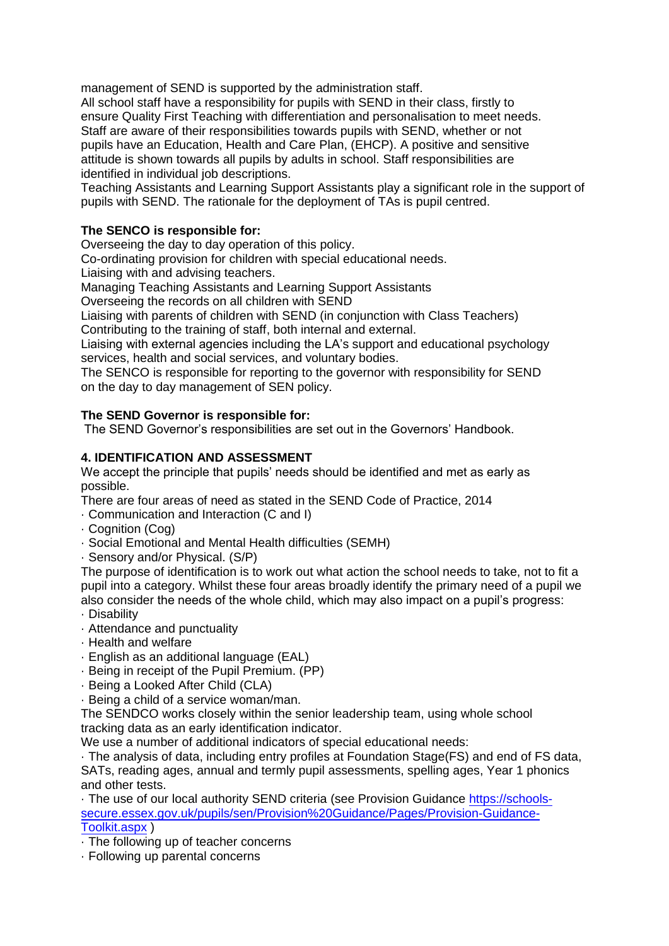management of SEND is supported by the administration staff.

All school staff have a responsibility for pupils with SEND in their class, firstly to ensure Quality First Teaching with differentiation and personalisation to meet needs. Staff are aware of their responsibilities towards pupils with SEND, whether or not pupils have an Education, Health and Care Plan, (EHCP). A positive and sensitive attitude is shown towards all pupils by adults in school. Staff responsibilities are identified in individual job descriptions.

Teaching Assistants and Learning Support Assistants play a significant role in the support of pupils with SEND. The rationale for the deployment of TAs is pupil centred.

# **The SENCO is responsible for:**

Overseeing the day to day operation of this policy.

Co-ordinating provision for children with special educational needs.

Liaising with and advising teachers.

Managing Teaching Assistants and Learning Support Assistants

Overseeing the records on all children with SEND

Liaising with parents of children with SEND (in conjunction with Class Teachers)

Contributing to the training of staff, both internal and external.

Liaising with external agencies including the LA's support and educational psychology services, health and social services, and voluntary bodies.

The SENCO is responsible for reporting to the governor with responsibility for SEND on the day to day management of SEN policy.

# **The SEND Governor is responsible for:**

The SEND Governor's responsibilities are set out in the Governors' Handbook.

# **4. IDENTIFICATION AND ASSESSMENT**

We accept the principle that pupils' needs should be identified and met as early as possible.

There are four areas of need as stated in the SEND Code of Practice, 2014

- · Communication and Interaction (C and I)
- · Cognition (Cog)
- · Social Emotional and Mental Health difficulties (SEMH)
- · Sensory and/or Physical. (S/P)

The purpose of identification is to work out what action the school needs to take, not to fit a pupil into a category. Whilst these four areas broadly identify the primary need of a pupil we also consider the needs of the whole child, which may also impact on a pupil's progress:

- · Disability
- · Attendance and punctuality
- · Health and welfare
- · English as an additional language (EAL)
- · Being in receipt of the Pupil Premium. (PP)
- · Being a Looked After Child (CLA)
- · Being a child of a service woman/man.

The SENDCO works closely within the senior leadership team, using whole school tracking data as an early identification indicator.

We use a number of additional indicators of special educational needs:

· The analysis of data, including entry profiles at Foundation Stage(FS) and end of FS data, SATs, reading ages, annual and termly pupil assessments, spelling ages, Year 1 phonics and other tests.

· The use of our local authority SEND criteria (see Provision Guidanc[e https://schools](https://schools-secure.essex.gov.uk/pupils/sen/Provision%20Guidance/Pages/Provision-Guidance-Toolkit.aspx)[secure.essex.gov.uk/pupils/sen/Provision%20Guidance/Pages/Provision-Guidance-](https://schools-secure.essex.gov.uk/pupils/sen/Provision%20Guidance/Pages/Provision-Guidance-Toolkit.aspx)[Toolkit.aspx](https://schools-secure.essex.gov.uk/pupils/sen/Provision%20Guidance/Pages/Provision-Guidance-Toolkit.aspx) )

- · The following up of teacher concerns
- · Following up parental concerns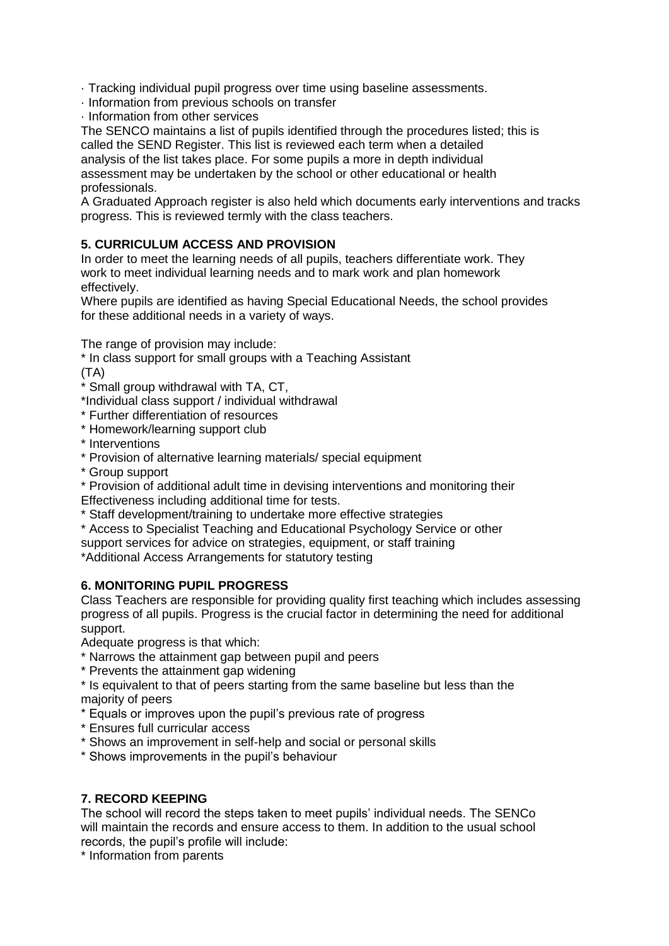· Tracking individual pupil progress over time using baseline assessments.

· Information from previous schools on transfer

· Information from other services

The SENCO maintains a list of pupils identified through the procedures listed; this is called the SEND Register. This list is reviewed each term when a detailed analysis of the list takes place. For some pupils a more in depth individual assessment may be undertaken by the school or other educational or health professionals.

A Graduated Approach register is also held which documents early interventions and tracks progress. This is reviewed termly with the class teachers.

# **5. CURRICULUM ACCESS AND PROVISION**

In order to meet the learning needs of all pupils, teachers differentiate work. They work to meet individual learning needs and to mark work and plan homework effectively.

Where pupils are identified as having Special Educational Needs, the school provides for these additional needs in a variety of ways.

The range of provision may include:

\* In class support for small groups with a Teaching Assistant

(TA)

- \* Small group withdrawal with TA, CT,
- \*Individual class support / individual withdrawal
- \* Further differentiation of resources
- \* Homework/learning support club
- \* Interventions
- \* Provision of alternative learning materials/ special equipment
- \* Group support
- \* Provision of additional adult time in devising interventions and monitoring their
- Effectiveness including additional time for tests.
- \* Staff development/training to undertake more effective strategies
- \* Access to Specialist Teaching and Educational Psychology Service or other
- support services for advice on strategies, equipment, or staff training

\*Additional Access Arrangements for statutory testing

# **6. MONITORING PUPIL PROGRESS**

Class Teachers are responsible for providing quality first teaching which includes assessing progress of all pupils. Progress is the crucial factor in determining the need for additional support.

Adequate progress is that which:

- \* Narrows the attainment gap between pupil and peers
- \* Prevents the attainment gap widening
- \* Is equivalent to that of peers starting from the same baseline but less than the majority of peers
- \* Equals or improves upon the pupil's previous rate of progress
- \* Ensures full curricular access
- \* Shows an improvement in self-help and social or personal skills
- \* Shows improvements in the pupil's behaviour

# **7. RECORD KEEPING**

The school will record the steps taken to meet pupils' individual needs. The SENCo will maintain the records and ensure access to them. In addition to the usual school records, the pupil's profile will include:

\* Information from parents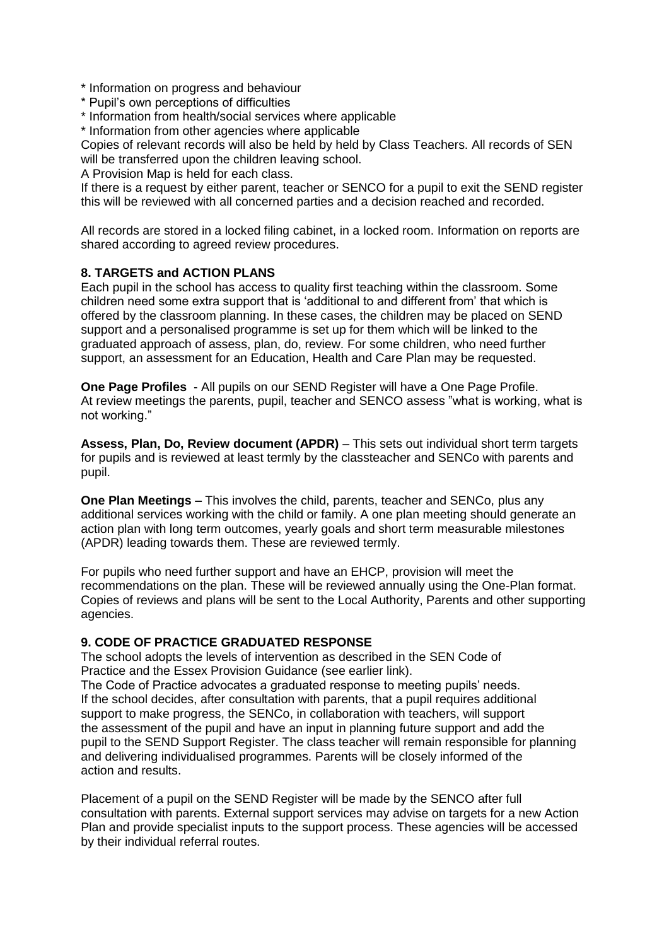- \* Information on progress and behaviour
- \* Pupil's own perceptions of difficulties
- \* Information from health/social services where applicable
- \* Information from other agencies where applicable

Copies of relevant records will also be held by held by Class Teachers. All records of SEN will be transferred upon the children leaving school.

A Provision Map is held for each class.

If there is a request by either parent, teacher or SENCO for a pupil to exit the SEND register this will be reviewed with all concerned parties and a decision reached and recorded.

All records are stored in a locked filing cabinet, in a locked room. Information on reports are shared according to agreed review procedures.

# **8. TARGETS and ACTION PLANS**

Each pupil in the school has access to quality first teaching within the classroom. Some children need some extra support that is 'additional to and different from' that which is offered by the classroom planning. In these cases, the children may be placed on SEND support and a personalised programme is set up for them which will be linked to the graduated approach of assess, plan, do, review. For some children, who need further support, an assessment for an Education, Health and Care Plan may be requested.

**One Page Profiles** - All pupils on our SEND Register will have a One Page Profile. At review meetings the parents, pupil, teacher and SENCO assess "what is working, what is not working."

**Assess, Plan, Do, Review document (APDR)** – This sets out individual short term targets for pupils and is reviewed at least termly by the classteacher and SENCo with parents and pupil.

**One Plan Meetings –** This involves the child, parents, teacher and SENCo, plus any additional services working with the child or family. A one plan meeting should generate an action plan with long term outcomes, yearly goals and short term measurable milestones (APDR) leading towards them. These are reviewed termly.

For pupils who need further support and have an EHCP, provision will meet the recommendations on the plan. These will be reviewed annually using the One-Plan format. Copies of reviews and plans will be sent to the Local Authority, Parents and other supporting agencies.

# **9. CODE OF PRACTICE GRADUATED RESPONSE**

The school adopts the levels of intervention as described in the SEN Code of Practice and the Essex Provision Guidance (see earlier link).

The Code of Practice advocates a graduated response to meeting pupils' needs. If the school decides, after consultation with parents, that a pupil requires additional support to make progress, the SENCo, in collaboration with teachers, will support the assessment of the pupil and have an input in planning future support and add the pupil to the SEND Support Register. The class teacher will remain responsible for planning and delivering individualised programmes. Parents will be closely informed of the action and results.

Placement of a pupil on the SEND Register will be made by the SENCO after full consultation with parents. External support services may advise on targets for a new Action Plan and provide specialist inputs to the support process. These agencies will be accessed by their individual referral routes.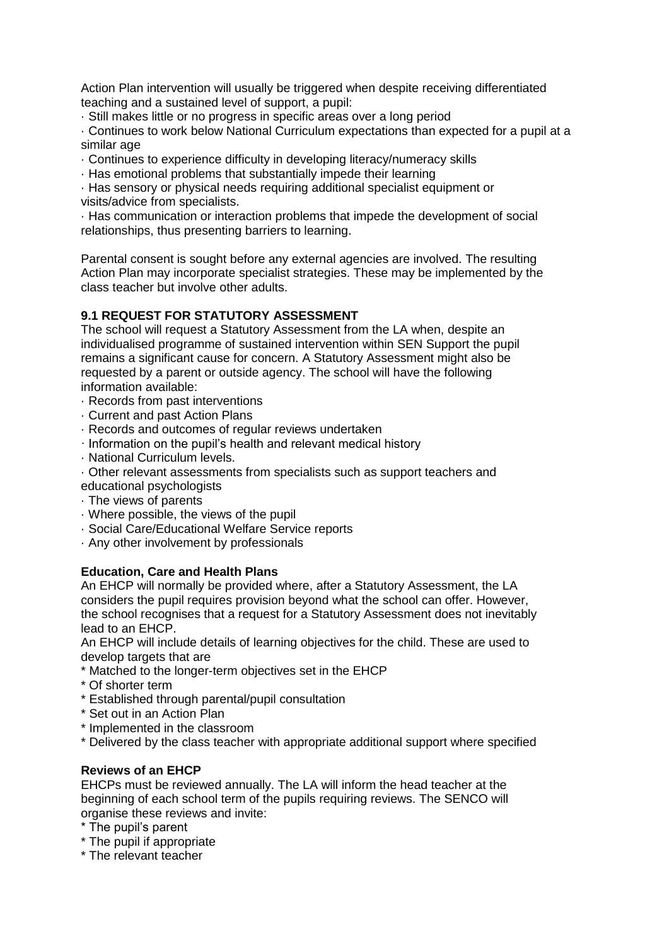Action Plan intervention will usually be triggered when despite receiving differentiated teaching and a sustained level of support, a pupil:

· Still makes little or no progress in specific areas over a long period

· Continues to work below National Curriculum expectations than expected for a pupil at a similar age

· Continues to experience difficulty in developing literacy/numeracy skills

· Has emotional problems that substantially impede their learning

· Has sensory or physical needs requiring additional specialist equipment or visits/advice from specialists.

· Has communication or interaction problems that impede the development of social relationships, thus presenting barriers to learning.

Parental consent is sought before any external agencies are involved. The resulting Action Plan may incorporate specialist strategies. These may be implemented by the class teacher but involve other adults.

# **9.1 REQUEST FOR STATUTORY ASSESSMENT**

The school will request a Statutory Assessment from the LA when, despite an individualised programme of sustained intervention within SEN Support the pupil remains a significant cause for concern. A Statutory Assessment might also be requested by a parent or outside agency. The school will have the following information available:

- · Records from past interventions
- · Current and past Action Plans
- · Records and outcomes of regular reviews undertaken
- · Information on the pupil's health and relevant medical history
- · National Curriculum levels.
- · Other relevant assessments from specialists such as support teachers and educational psychologists
- · The views of parents
- · Where possible, the views of the pupil
- · Social Care/Educational Welfare Service reports
- · Any other involvement by professionals

# **Education, Care and Health Plans**

An EHCP will normally be provided where, after a Statutory Assessment, the LA considers the pupil requires provision beyond what the school can offer. However, the school recognises that a request for a Statutory Assessment does not inevitably lead to an EHCP.

An EHCP will include details of learning objectives for the child. These are used to develop targets that are

- \* Matched to the longer-term objectives set in the EHCP
- \* Of shorter term
- \* Established through parental/pupil consultation
- \* Set out in an Action Plan
- \* Implemented in the classroom
- \* Delivered by the class teacher with appropriate additional support where specified

# **Reviews of an EHCP**

EHCPs must be reviewed annually. The LA will inform the head teacher at the beginning of each school term of the pupils requiring reviews. The SENCO will organise these reviews and invite:

- \* The pupil's parent
- \* The pupil if appropriate
- \* The relevant teacher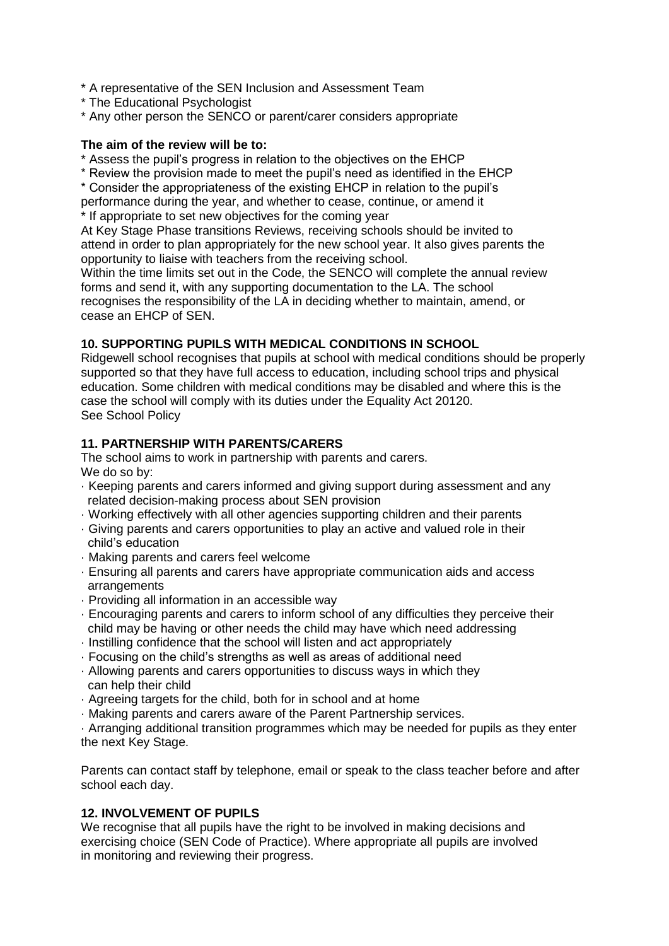\* A representative of the SEN Inclusion and Assessment Team

- \* The Educational Psychologist
- \* Any other person the SENCO or parent/carer considers appropriate

#### **The aim of the review will be to:**

- \* Assess the pupil's progress in relation to the objectives on the EHCP
- \* Review the provision made to meet the pupil's need as identified in the EHCP

\* Consider the appropriateness of the existing EHCP in relation to the pupil's performance during the year, and whether to cease, continue, or amend it

If appropriate to set new objectives for the coming year

At Key Stage Phase transitions Reviews, receiving schools should be invited to attend in order to plan appropriately for the new school year. It also gives parents the opportunity to liaise with teachers from the receiving school.

Within the time limits set out in the Code, the SENCO will complete the annual review forms and send it, with any supporting documentation to the LA. The school recognises the responsibility of the LA in deciding whether to maintain, amend, or cease an EHCP of SEN.

#### **10. SUPPORTING PUPILS WITH MEDICAL CONDITIONS IN SCHOOL**

Ridgewell school recognises that pupils at school with medical conditions should be properly supported so that they have full access to education, including school trips and physical education. Some children with medical conditions may be disabled and where this is the case the school will comply with its duties under the Equality Act 20120. See School Policy

# **11. PARTNERSHIP WITH PARENTS/CARERS**

The school aims to work in partnership with parents and carers. We do so by:

- · Keeping parents and carers informed and giving support during assessment and any related decision-making process about SEN provision
- · Working effectively with all other agencies supporting children and their parents
- · Giving parents and carers opportunities to play an active and valued role in their child's education
- · Making parents and carers feel welcome
- · Ensuring all parents and carers have appropriate communication aids and access arrangements
- · Providing all information in an accessible way
- · Encouraging parents and carers to inform school of any difficulties they perceive their child may be having or other needs the child may have which need addressing
- · Instilling confidence that the school will listen and act appropriately
- · Focusing on the child's strengths as well as areas of additional need
- · Allowing parents and carers opportunities to discuss ways in which they can help their child
- · Agreeing targets for the child, both for in school and at home
- · Making parents and carers aware of the Parent Partnership services.

· Arranging additional transition programmes which may be needed for pupils as they enter the next Key Stage.

Parents can contact staff by telephone, email or speak to the class teacher before and after school each day.

#### **12. INVOLVEMENT OF PUPILS**

We recognise that all pupils have the right to be involved in making decisions and exercising choice (SEN Code of Practice). Where appropriate all pupils are involved in monitoring and reviewing their progress.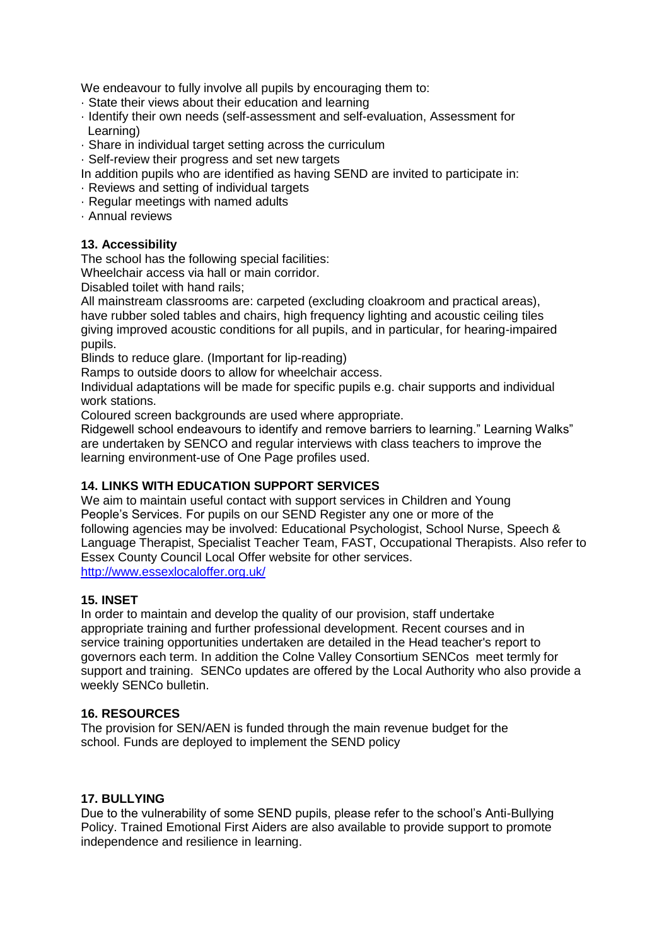We endeavour to fully involve all pupils by encouraging them to:

- · State their views about their education and learning
- · Identify their own needs (self-assessment and self-evaluation, Assessment for Learning)
- · Share in individual target setting across the curriculum
- · Self-review their progress and set new targets
- In addition pupils who are identified as having SEND are invited to participate in:
- · Reviews and setting of individual targets
- · Regular meetings with named adults
- · Annual reviews

# **13. Accessibility**

The school has the following special facilities:

Wheelchair access via hall or main corridor.

Disabled toilet with hand rails;

All mainstream classrooms are: carpeted (excluding cloakroom and practical areas), have rubber soled tables and chairs, high frequency lighting and acoustic ceiling tiles giving improved acoustic conditions for all pupils, and in particular, for hearing-impaired pupils.

Blinds to reduce glare. (Important for lip-reading)

Ramps to outside doors to allow for wheelchair access.

Individual adaptations will be made for specific pupils e.g. chair supports and individual work stations.

Coloured screen backgrounds are used where appropriate.

Ridgewell school endeavours to identify and remove barriers to learning." Learning Walks" are undertaken by SENCO and regular interviews with class teachers to improve the learning environment-use of One Page profiles used.

# **14. LINKS WITH EDUCATION SUPPORT SERVICES**

We aim to maintain useful contact with support services in Children and Young People's Services. For pupils on our SEND Register any one or more of the following agencies may be involved: Educational Psychologist, School Nurse, Speech & Language Therapist, Specialist Teacher Team, FAST, Occupational Therapists. Also refer to Essex County Council Local Offer website for other services. <http://www.essexlocaloffer.org.uk/>

# **15. INSET**

In order to maintain and develop the quality of our provision, staff undertake appropriate training and further professional development. Recent courses and in service training opportunities undertaken are detailed in the Head teacher's report to governors each term. In addition the Colne Valley Consortium SENCos meet termly for support and training. SENCo updates are offered by the Local Authority who also provide a weekly SENCo bulletin.

# **16. RESOURCES**

The provision for SEN/AEN is funded through the main revenue budget for the school. Funds are deployed to implement the SEND policy

# **17. BULLYING**

Due to the vulnerability of some SEND pupils, please refer to the school's Anti-Bullying Policy. Trained Emotional First Aiders are also available to provide support to promote independence and resilience in learning.